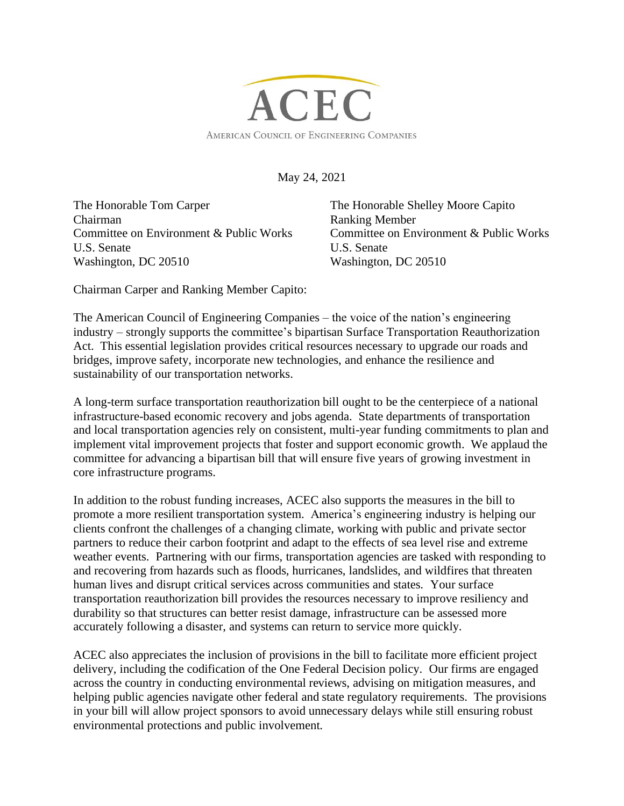

May 24, 2021

The Honorable Tom Carper Chairman Committee on Environment & Public Works U.S. Senate Washington, DC 20510

The Honorable Shelley Moore Capito Ranking Member Committee on Environment & Public Works U.S. Senate Washington, DC 20510

Chairman Carper and Ranking Member Capito:

The American Council of Engineering Companies – the voice of the nation's engineering industry – strongly supports the committee's bipartisan Surface Transportation Reauthorization Act. This essential legislation provides critical resources necessary to upgrade our roads and bridges, improve safety, incorporate new technologies, and enhance the resilience and sustainability of our transportation networks.

A long-term surface transportation reauthorization bill ought to be the centerpiece of a national infrastructure-based economic recovery and jobs agenda. State departments of transportation and local transportation agencies rely on consistent, multi-year funding commitments to plan and implement vital improvement projects that foster and support economic growth. We applaud the committee for advancing a bipartisan bill that will ensure five years of growing investment in core infrastructure programs.

In addition to the robust funding increases, ACEC also supports the measures in the bill to promote a more resilient transportation system. America's engineering industry is helping our clients confront the challenges of a changing climate, working with public and private sector partners to reduce their carbon footprint and adapt to the effects of sea level rise and extreme weather events. Partnering with our firms, transportation agencies are tasked with responding to and recovering from hazards such as floods, hurricanes, landslides, and wildfires that threaten human lives and disrupt critical services across communities and states. Your surface transportation reauthorization bill provides the resources necessary to improve resiliency and durability so that structures can better resist damage, infrastructure can be assessed more accurately following a disaster, and systems can return to service more quickly.

ACEC also appreciates the inclusion of provisions in the bill to facilitate more efficient project delivery, including the codification of the One Federal Decision policy. Our firms are engaged across the country in conducting environmental reviews, advising on mitigation measures, and helping public agencies navigate other federal and state regulatory requirements. The provisions in your bill will allow project sponsors to avoid unnecessary delays while still ensuring robust environmental protections and public involvement.